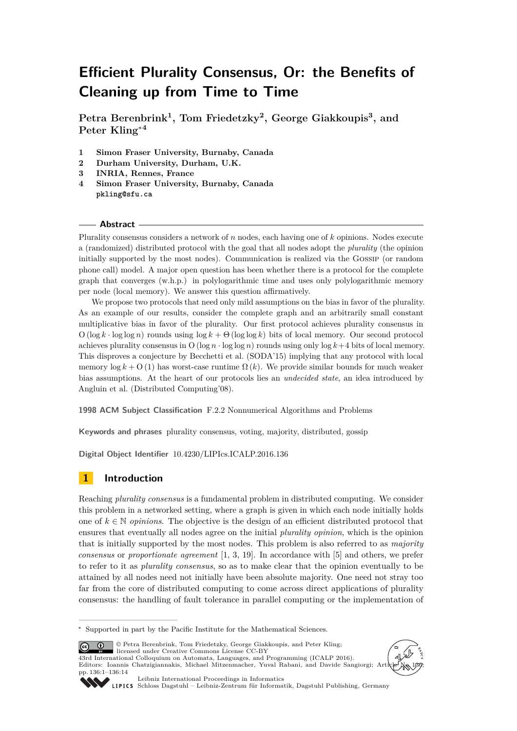# **Efficient Plurality Consensus, Or: the Benefits of Cleaning up from Time to Time**

**Petra Berenbrink<sup>1</sup> , Tom Friedetzky<sup>2</sup> , George Giakkoupis<sup>3</sup> , and Peter Kling**<sup>∗</sup>**<sup>4</sup>**

- **1 Simon Fraser University, Burnaby, Canada**
- **2 Durham University, Durham, U.K.**
- **3 INRIA, Rennes, France**
- **4 Simon Fraser University, Burnaby, Canada pkling@sfu.ca**

#### **Abstract**

Plurality consensus considers a network of *n* nodes, each having one of *k* opinions. Nodes execute a (randomized) distributed protocol with the goal that all nodes adopt the *plurality* (the opinion initially supported by the most nodes). Communication is realized via the Gossip (or random phone call) model. A major open question has been whether there is a protocol for the complete graph that converges (w.h.p.) in polylogarithmic time and uses only polylogarithmic memory per node (local memory). We answer this question affirmatively.

We propose two protocols that need only mild assumptions on the bias in favor of the plurality. As an example of our results, consider the complete graph and an arbitrarily small constant multiplicative bias in favor of the plurality. Our first protocol achieves plurality consensus in  $O(\log k \cdot \log \log n)$  rounds using  $\log k + \Theta(\log \log k)$  bits of local memory. Our second protocol achieves plurality consensus in O (log  $n \cdot \log \log n$ ) rounds using only  $\log k + 4$  bits of local memory. This disproves a conjecture by Becchetti et al. (SODA'15) implying that any protocol with local memory  $\log k + O(1)$  has worst-case runtime  $\Omega(k)$ . We provide similar bounds for much weaker bias assumptions. At the heart of our protocols lies an *undecided state*, an idea introduced by Angluin et al. (Distributed Computing'08).

**1998 ACM Subject Classification** F.2.2 Nonnumerical Algorithms and Problems

**Keywords and phrases** plurality consensus, voting, majority, distributed, gossip

**Digital Object Identifier** [10.4230/LIPIcs.ICALP.2016.136](http://dx.doi.org/10.4230/LIPIcs.ICALP.2016.136)

## **1 Introduction**

Reaching *plurality consensus* is a fundamental problem in distributed computing. We consider this problem in a networked setting, where a graph is given in which each node initially holds one of  $k \in \mathbb{N}$  *opinions*. The objective is the design of an efficient distributed protocol that ensures that eventually all nodes agree on the initial *plurality opinion*, which is the opinion that is initially supported by the most nodes. This problem is also referred to as *majority consensus* or *proportionate agreement* [\[1,](#page-12-0) [3,](#page-12-1) [19\]](#page-13-0). In accordance with [\[5\]](#page-12-2) and others, we prefer to refer to it as *plurality consensus*, so as to make clear that the opinion eventually to be attained by all nodes need not initially have been absolute majority. One need not stray too far from the core of distributed computing to come across direct applications of plurality consensus: the handling of fault tolerance in parallel computing or the implementation of

© Petra Berenbrink, Tom Friedetzky, George Giakkoupis, and Peter Kling;  $\boxed{6}$   $\boxed{0}$ licensed under Creative Commons License CC-BY 43rd International Colloquium on Automata, Languages, and Programming (ICALP 2016).

Editors: Ioannis Chatzigiannakis, Michael Mitzenmacher, Yuval Rabani, and Davide Sangiorgi; Article No. 136; pp. 136:1–136[:14](#page-13-1)





[Leibniz International Proceedings in Informatics](http://www.dagstuhl.de/lipics/)

[Schloss Dagstuhl – Leibniz-Zentrum für Informatik, Dagstuhl Publishing, Germany](http://www.dagstuhl.de)

<sup>∗</sup> Supported in part by the Pacific Institute for the Mathematical Sciences.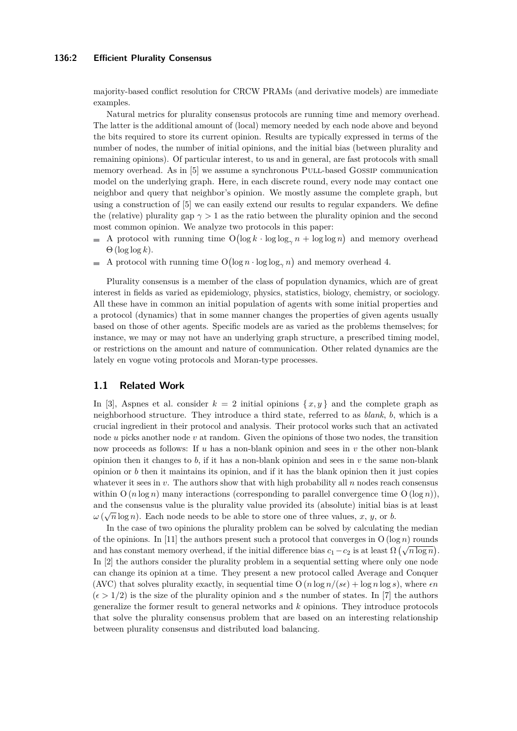#### **136:2 Efficient Plurality Consensus**

majority-based conflict resolution for CRCW PRAMs (and derivative models) are immediate examples.

Natural metrics for plurality consensus protocols are running time and memory overhead. The latter is the additional amount of (local) memory needed by each node above and beyond the bits required to store its current opinion. Results are typically expressed in terms of the number of nodes, the number of initial opinions, and the initial bias (between plurality and remaining opinions). Of particular interest, to us and in general, are fast protocols with small memory overhead. As in [\[5\]](#page-12-2) we assume a synchronous Pull-based Gossip communication model on the underlying graph. Here, in each discrete round, every node may contact one neighbor and query that neighbor's opinion. We mostly assume the complete graph, but using a construction of [\[5\]](#page-12-2) we can easily extend our results to regular expanders. We define the (relative) plurality gap  $\gamma > 1$  as the ratio between the plurality opinion and the second most common opinion. We analyze two protocols in this paper:

- A protocol with running time  $O(\log k \cdot \log \log_{\gamma} n + \log \log n)$  and memory overhead m.  $\Theta$  (log log k).
- A protocol with running time  $O(\log n \cdot \log \log_{\gamma} n)$  and memory overhead 4.

Plurality consensus is a member of the class of population dynamics, which are of great interest in fields as varied as epidemiology, physics, statistics, biology, chemistry, or sociology. All these have in common an initial population of agents with some initial properties and a protocol (dynamics) that in some manner changes the properties of given agents usually based on those of other agents. Specific models are as varied as the problems themselves; for instance, we may or may not have an underlying graph structure, a prescribed timing model, or restrictions on the amount and nature of communication. Other related dynamics are the lately en vogue voting protocols and Moran-type processes.

## **1.1 Related Work**

In [\[3\]](#page-12-1), Aspnes et al. consider  $k = 2$  initial opinions  $\{x, y\}$  and the complete graph as neighborhood structure. They introduce a third state, referred to as *blank*, *b*, which is a crucial ingredient in their protocol and analysis. Their protocol works such that an activated node *u* picks another node *v* at random. Given the opinions of those two nodes, the transition now proceeds as follows: If *u* has a non-blank opinion and sees in *v* the other non-blank opinion then it changes to  $b$ , if it has a non-blank opinion and sees in  $v$  the same non-blank opinion or  $b$  then it maintains its opinion, and if it has the blank opinion then it just copies whatever it sees in *v*. The authors show that with high probability all *n* nodes reach consensus within  $O(n \log n)$  many interactions (corresponding to parallel convergence time  $O(\log n)$ ), and the consensus value is the plurality value provided its (absolute) initial bias is at least  $\omega(\sqrt{n}\log n)$ . Each node needs to be able to store one of three values, *x*, *y*, or *b*.

In the case of two opinions the plurality problem can be solved by calculating the median of the opinions. In [\[11\]](#page-13-2) the authors present such a protocol that converges in  $O(\log n)$  rounds and has constant memory overhead, if the initial difference bias  $c_1 - c_2$  is at least  $\Omega(\sqrt{n \log n})$ . In [\[2\]](#page-12-3) the authors consider the plurality problem in a sequential setting where only one node can change its opinion at a time. They present a new protocol called Average and Conquer (AVC) that solves plurality exactly, in sequential time  $O(n \log n / (s\epsilon) + \log n \log s)$ , where  $\epsilon n$  $(\epsilon > 1/2)$  is the size of the plurality opinion and *s* the number of states. In [\[7\]](#page-13-3) the authors generalize the former result to general networks and *k* opinions. They introduce protocols that solve the plurality consensus problem that are based on an interesting relationship between plurality consensus and distributed load balancing.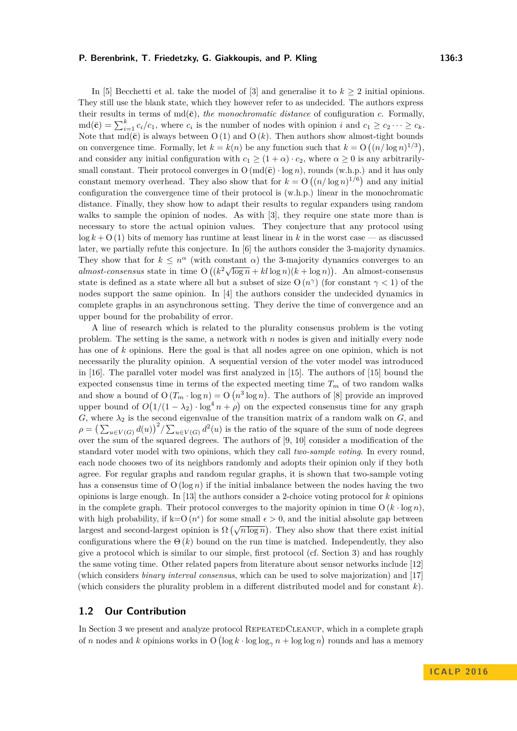In [\[5\]](#page-12-2) Becchetti et al. take the model of  $[3]$  and generalise it to  $k \geq 2$  initial opinions. They still use the blank state, which they however refer to as undecided. The authors express their results in terms of  $\text{md}(\bar{\mathbf{c}})$ , *the monochromatic distance* of configuration *c*. Formally,  $\text{md}(\bar{\mathbf{c}}) = \sum_{i=1}^{k} c_i/c_1$ , where  $c_i$  is the number of nodes with opinion *i* and  $c_1 \geq c_2 \cdots \geq c_k$ . Note that  $\text{md}(\bar{\mathbf{c}})$  is always between O (1) and O (k). Then authors show almost-tight bounds on convergence time. Formally, let  $k = k(n)$  be any function such that  $k = O((n/\log n)^{1/3})$ , and consider any initial configuration with  $c_1 \geq (1 + \alpha) \cdot c_2$ , where  $\alpha \geq 0$  is any arbitrarilysmall constant. Their protocol converges in  $O(md(\bar{c}) \cdot \log n)$ , rounds (w.h.p.) and it has only constant memory overhead. They also show that for  $k = O((n/\log n)^{1/6})$  and any initial configuration the convergence time of their protocol is (w.h.p.) linear in the monochromatic distance. Finally, they show how to adapt their results to regular expanders using random walks to sample the opinion of nodes. As with [\[3\]](#page-12-1), they require one state more than is necessary to store the actual opinion values. They conjecture that any protocol using  $\log k + O(1)$  bits of memory has runtime at least linear in k in the worst case — as discussed later, we partially refute this conjecture. In [\[6\]](#page-13-4) the authors consider the 3-majority dynamics. They show that for  $k \leq n^{\alpha}$  (with constant  $\alpha$ ) the 3-majority dynamics converges to an *almost-consensus* state in time  $O((k^2 \sqrt{\log n} + k \log n)(k + \log n))$ . An almost-consensus state is defined as a state where all but a subset of size  $O(n^{\gamma})$  (for constant  $\gamma < 1$ ) of the nodes support the same opinion. In [\[4\]](#page-12-4) the authors consider the undecided dynamics in complete graphs in an asynchronous setting. They derive the time of convergence and an upper bound for the probability of error.

A line of research which is related to the plurality consensus problem is the voting problem. The setting is the same, a network with *n* nodes is given and initially every node has one of *k* opinions. Here the goal is that all nodes agree on one opinion, which is not necessarily the plurality opinion. A sequential version of the voter model was introduced in [\[16\]](#page-13-5). The parallel voter model was first analyzed in [\[15\]](#page-13-6). The authors of [\[15\]](#page-13-6) bound the expected consensus time in terms of the expected meeting time  $T_m$  of two random walks and show a bound of  $O(T_m \cdot \log n) = O(n^3 \log n)$ . The authors of [\[8\]](#page-13-7) provide an improved upper bound of  $O(1/(1 - \lambda_2) \cdot \log^4 n + \rho)$  on the expected consensus time for any graph *G*, where  $\lambda_2$  is the second eigenvalue of the transition matrix of a random walk on *G*, and  $\rho = \left(\sum_{u \in V(G)} d(u)\right)^2 / \sum_{u \in V(G)} d^2(u)$  is the ratio of the square of the sum of node degrees over the sum of the squared degrees. The authors of [\[9,](#page-13-8) [10\]](#page-13-9) consider a modification of the standard voter model with two opinions, which they call *two-sample voting*. In every round, each node chooses two of its neighbors randomly and adopts their opinion only if they both agree. For regular graphs and random regular graphs, it is shown that two-sample voting has a consensus time of  $O(\log n)$  if the initial imbalance between the nodes having the two opinions is large enough. In [\[13\]](#page-13-10) the authors consider a 2-choice voting protocol for *k* opinions in the complete graph. Their protocol converges to the majority opinion in time  $O(k \cdot \log n)$ , with high probability, if  $k=O(n^{\epsilon})$  for some small  $\epsilon > 0$ , and the initial absolute gap between while mean probability, if  $\kappa = O(n^2)$  for some small  $\epsilon > 0$ , and the initial absolute gap between<br>largest and second-largest opinion is  $\Omega(\sqrt{n \log n})$ . They also show that there exist initial configurations where the  $\Theta(k)$  bound on the run time is matched. Independently, they also give a protocol which is similar to our simple, first protocol (cf. Section [3\)](#page-4-0) and has roughly the same voting time. Other related papers from literature about sensor networks include [\[12\]](#page-13-11) (which considers *binary interval consensus*, which can be used to solve majorization) and [\[17\]](#page-13-12) (which considers the plurality problem in a different distributed model and for constant *k*).

## **1.2 Our Contribution**

In Section [3](#page-4-0) we present and analyze protocol RepeatedCleanup, which in a complete graph of *n* nodes and *k* opinions works in  $O( \log k \cdot \log \log_{\gamma} n + \log \log n)$  rounds and has a memory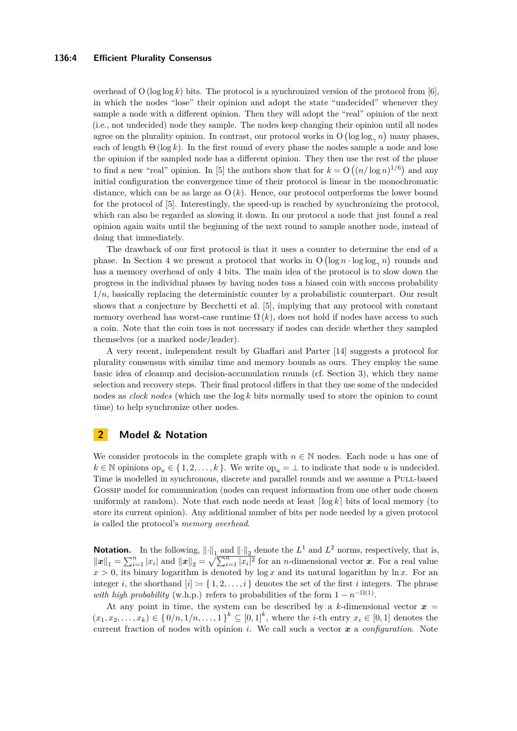#### **136:4 Efficient Plurality Consensus**

overhead of O ( $\log \log k$ ) bits. The protocol is a synchronized version of the protocol from [\[6\]](#page-13-4), in which the nodes "lose" their opinion and adopt the state "undecided" whenever they sample a node with a different opinion. Then they will adopt the "real" opinion of the next (i.e., not undecided) node they sample. The nodes keep changing their opinion until all nodes agree on the plurality opinion. In contrast, our protocol works in  $O(\log \log_{\gamma} n)$  many phases, each of length  $\Theta(\log k)$ . In the first round of every phase the nodes sample a node and lose the opinion if the sampled node has a different opinion. They then use the rest of the phase to find a new "real" opinion. In [\[5\]](#page-12-2) the authors show that for  $k = O((n/\log n)^{1/6})$  and any initial configuration the convergence time of their protocol is linear in the monochromatic distance, which can be as large as  $O(k)$ . Hence, our protocol outperforms the lower bound for the protocol of [\[5\]](#page-12-2). Interestingly, the speed-up is reached by synchronizing the protocol, which can also be regarded as slowing it down. In our protocol a node that just found a real opinion again waits until the beginning of the next round to sample another node, instead of doing that immediately.

The drawback of our first protocol is that it uses a counter to determine the end of a phase. In Section [4](#page-10-0) we present a protocol that works in  $O(\log n \cdot \log \log_{\gamma} n)$  rounds and has a memory overhead of only 4 bits. The main idea of the protocol is to slow down the progress in the individual phases by having nodes toss a biased coin with success probability  $1/n$ , basically replacing the deterministic counter by a probabilistic counterpart. Our result shows that a conjecture by Becchetti et al. [\[5\]](#page-12-2), implying that any protocol with constant memory overhead has worst-case runtime  $\Omega(k)$ , does not hold if nodes have access to such a coin. Note that the coin toss is not necessary if nodes can decide whether they sampled themselves (or a marked node/leader).

A very recent, independent result by Ghaffari and Parter [\[14\]](#page-13-13) suggests a protocol for plurality consensus with similar time and memory bounds as ours. They employ the same basic idea of cleanup and decision-accumulation rounds (cf. Section [3\)](#page-4-0), which they name selection and recovery steps. Their final protocol differs in that they use some of the undecided nodes as *clock nodes* (which use the log *k* bits normally used to store the opinion to count time) to help synchronize other nodes.

# **2 Model & Notation**

We consider protocols in the complete graph with  $n \in \mathbb{N}$  nodes. Each node *u* has one of  $k \in \mathbb{N}$  opinions op<sub>u</sub>  $\in \{1, 2, \ldots, k\}$ . We write op<sub>u</sub>  $= \perp$  to indicate that node *u* is undecided. Time is modelled in synchronous, discrete and parallel rounds and we assume a Pull-based Gossip model for communication (nodes can request information from one other node chosen uniformly at random). Note that each node needs at least  $\lceil \log k \rceil$  bits of local memory (to store its current opinion). Any additional number of bits per node needed by a given protocol is called the protocol's *memory overhead*.

**Notation.** In the following,  $\|\cdot\|_1$  and  $\|\cdot\|_2$  denote the  $L^1$  and  $L^2$  norms, respectively, that is,  $||x||_1 = \sum_{i=1}^n |x_i|$  and  $||x||_2 = \sqrt{\sum_{i=1}^n |x_i|^2}$  for an *n*-dimensional vector *x*. For a real value  $x > 0$ , its binary logarithm is denoted by  $\log x$  and its natural logarithm by  $\ln x$ . For an integer *i*, the shorthand  $[i] := \{1, 2, \ldots, i\}$  denotes the set of the first *i* integers. The phrase *with high probability* (w.h.p.) refers to probabilities of the form  $1 - n^{-\Omega(1)}$ .

At any point in time, the system can be described by a *k*-dimensional vector  $x =$  $(x_1, x_2, \ldots, x_k) \in \{0/n, 1/n, \ldots, 1\}^k \subseteq [0, 1]^k$ , where the *i*-th entry  $x_i \in [0, 1]$  denotes the current fraction of nodes with opinion *i*. We call such a vector *x* a *configuration*. Note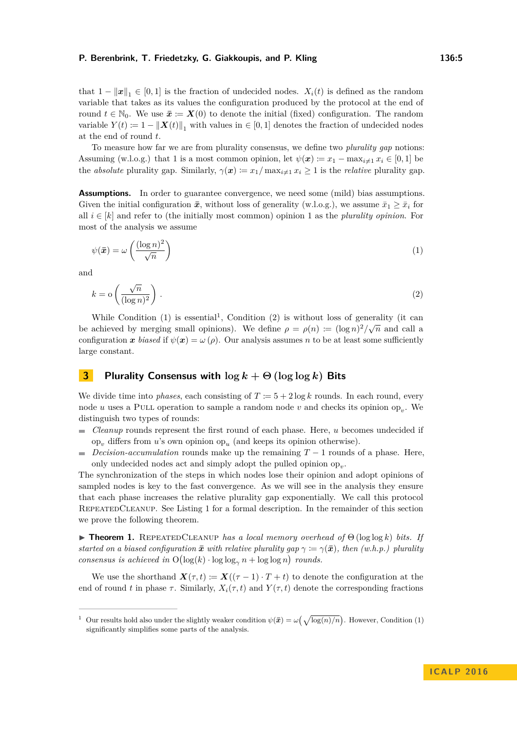that  $1 - ||x||_1 \in [0, 1]$  is the fraction of undecided nodes.  $X_i(t)$  is defined as the random variable that takes as its values the configuration produced by the protocol at the end of round  $t \in \mathbb{N}_0$ . We use  $\bar{x} := X(0)$  to denote the initial (fixed) configuration. The random variable  $Y(t) := 1 - ||X(t)||_1$  with values in  $\in [0, 1]$  denotes the fraction of undecided nodes at the end of round *t*.

To measure how far we are from plurality consensus, we define two *plurality gap* notions: Assuming (w.l.o.g.) that 1 is a most common opinion, let  $\psi(\mathbf{x}) := x_1 - \max_{i \neq 1} x_i \in [0, 1]$  be the *absolute* plurality gap. Similarly,  $\gamma(x) := x_1 / \max_{i \neq 1} x_i \geq 1$  is the *relative* plurality gap.

**Assumptions.** In order to guarantee convergence, we need some (mild) bias assumptions. Given the initial configuration  $\bar{x}$ , without loss of generality (w.l.o.g.), we assume  $\bar{x}_1 \geq \bar{x}_i$  for all  $i \in [k]$  and refer to (the initially most common) opinion 1 as the *plurality opinion*. For most of the analysis we assume

<span id="page-4-1"></span>
$$
\psi(\bar{x}) = \omega \left( \frac{(\log n)^2}{\sqrt{n}} \right) \tag{1}
$$

and

<span id="page-4-3"></span>
$$
k = o\left(\frac{\sqrt{n}}{(\log n)^2}\right). \tag{2}
$$

While Condition [\(1\)](#page-4-1) is essential<sup>[1](#page-4-2)</sup>, Condition [\(2\)](#page-4-3) is without loss of generality (it can be achieved by merging small opinions). We define  $\rho = \rho(n) := (\log n)^2 / \sqrt{n}$  and call a configuration *x biased* if  $\psi(x) = \omega(\rho)$ . Our analysis assumes *n* to be at least some sufficiently large constant.

# <span id="page-4-0"></span>**3 Plurality Consensus with**  $\log k + \Theta(\log \log k)$  **Bits**

We divide time into *phases*, each consisting of  $T := 5 + 2 \log k$  rounds. In each round, every node *u* uses a PULL operation to sample a random node *v* and checks its opinion op<sub>*v*</sub>. We distinguish two types of rounds:

- $\mathbf{r}$ *Cleanup* rounds represent the first round of each phase. Here, *u* becomes undecided if op*<sup>v</sup>* differs from *u*'s own opinion op*<sup>u</sup>* (and keeps its opinion otherwise).
- *Decision-accumulation* rounds make up the remaining  $T 1$  rounds of a phase. Here,  $\blacksquare$ only undecided nodes act and simply adopt the pulled opinion  $op_v$ .

The synchronization of the steps in which nodes lose their opinion and adopt opinions of sampled nodes is key to the fast convergence. As we will see in the analysis they ensure that each phase increases the relative plurality gap exponentially. We call this protocol REPEATEDCLEANUP. See Listing [1](#page-5-0) for a formal description. In the remainder of this section we prove the following theorem.

<span id="page-4-4"></span>**Findment 1.** REPEATEDCLEANUP *has a local memory overhead of*  $\Theta$  (log log *k*) *bits.* If *started on a biased configuration*  $\bar{x}$  *with relative plurality gap*  $\gamma := \gamma(\bar{x})$ *, then (w.h.p.) plurality consensus is achieved in*  $O(\log(k) \cdot \log \log_{\gamma} n + \log \log n)$  *rounds.* 

We use the shorthand  $\mathbf{X}(\tau,t) := \mathbf{X}((\tau-1) \cdot T + t)$  to denote the configuration at the end of round *t* in phase  $\tau$ . Similarly,  $X_i(\tau, t)$  and  $Y(\tau, t)$  denote the corresponding fractions

<span id="page-4-2"></span><sup>&</sup>lt;sup>1</sup> Our results hold also under the slightly weaker condition  $\psi(\bar{x}) = \omega(\sqrt{\log(n)/n})$ . However, Condition [\(1\)](#page-4-1) significantly simplifies some parts of the analysis.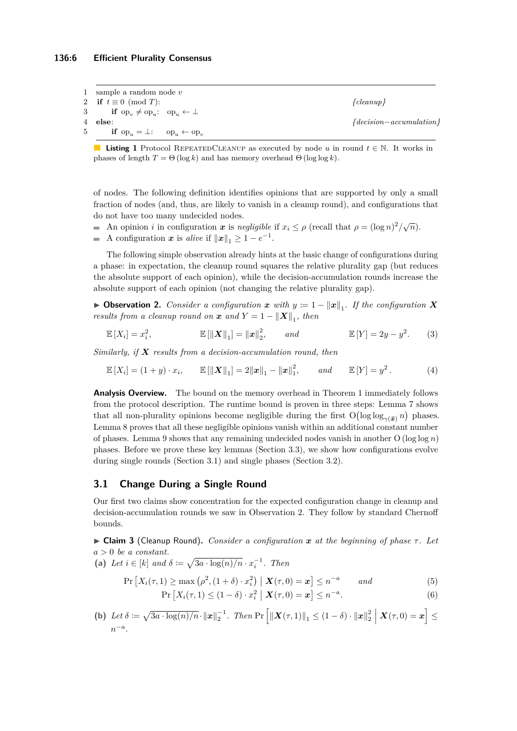#### **136:6 Efficient Plurality Consensus**

<span id="page-5-0"></span>

| 1 sample a random node $v$                                                                   |                           |
|----------------------------------------------------------------------------------------------|---------------------------|
| 2 if $t \equiv 0 \pmod{T}$ :                                                                 | ${deanup}$                |
| 3 if $\operatorname{op}_v \neq \operatorname{op}_u$ : $\operatorname{op}_u \leftarrow \perp$ |                           |
| 4 else:                                                                                      | ${decision-accumulation}$ |
| 5 if $\operatorname{op}_u = \perp$ : $\operatorname{op}_u \leftarrow \operatorname{op}_v$    |                           |

**Listing 1** Protocol REPEATEDCLEANUP as executed by node *u* in round  $t \in \mathbb{N}$ . It works in phases of length  $T = \Theta(\log k)$  and has memory overhead  $\Theta(\log \log k)$ .

of nodes. The following definition identifies opinions that are supported by only a small fraction of nodes (and, thus, are likely to vanish in a cleanup round), and configurations that do not have too many undecided nodes.

- An opinion *i* in configuration  $x$  is *negligible* if  $x_i \le \rho$  (recall that  $\rho = (\log n)^2 / \sqrt{n}$ ).
- A configuration *x* is *alive* if  $||x||_1 \geq 1 e^{-1}$ .

The following simple observation already hints at the basic change of configurations during a phase: in expectation, the cleanup round squares the relative plurality gap (but reduces the absolute support of each opinion), while the decision-accumulation rounds increase the absolute support of each opinion (not changing the relative plurality gap).

<span id="page-5-2"></span>▶ Observation 2. *Consider a configuration*  $x$  *with*  $y := 1 - ||x||_1$ . If the configuration **X** *results from a cleanup round on*  $\boldsymbol{x}$  *and*  $Y = 1 - ||\boldsymbol{X}||_1$ , *then* 

$$
\mathbb{E}[X_i] = x_i^2, \qquad \qquad \mathbb{E}[\|\mathbf{X}\|_1] = \|\mathbf{x}\|_2^2, \qquad and \qquad \mathbb{E}[Y] = 2y - y^2. \qquad (3)
$$

*Similarly, if X results from a decision-accumulation round, then*

$$
\mathbb{E}[X_i] = (1+y) \cdot x_i, \qquad \mathbb{E}[\|\boldsymbol{X}\|_1] = 2\|\boldsymbol{x}\|_1 - \|\boldsymbol{x}\|_1^2, \qquad \text{and} \qquad \mathbb{E}[Y] = y^2. \tag{4}
$$

**Analysis Overview.** The bound on the memory overhead in Theorem [1](#page-4-4) immediately follows from the protocol description. The runtime bound is proven in three steps: Lemma [7](#page-8-0) shows that all non-plurality opinions become negligible during the first  $O(log log_{\gamma(\bar{x})} n)$  phases. Lemma [8](#page-9-0) proves that all these negligible opinions vanish within an additional constant number of phases. Lemma [9](#page-9-1) shows that any remaining undecided nodes vanish in another  $O(\log \log n)$ phases. Before we prove these key lemmas (Section [3.3\)](#page-8-1), we show how configurations evolve during single rounds (Section [3.1\)](#page-5-1) and single phases (Section [3.2\)](#page-6-0).

#### <span id="page-5-1"></span>**3.1 Change During a Single Round**

Our first two claims show concentration for the expected configuration change in cleanup and decision-accumulation rounds we saw in Observation [2.](#page-5-2) They follow by standard Chernoff bounds.

<span id="page-5-3"></span>I **Claim 3** (Cleanup Round)**.** *Consider a configuration x at the beginning of phase τ . Let a >* 0 *be a constant.*

(a) Let 
$$
i \in [k]
$$
 and  $\delta := \sqrt{3a \cdot \log(n)/n} \cdot x_i^{-1}$ . Then

$$
\Pr\left[X_i(\tau,1)\geq \max\left(\rho^2,(1+\delta)\cdot x_i^2\right) \mid \boldsymbol{X}(\tau,0)=\boldsymbol{x}\right]\leq n^{-a} \qquad \text{and} \tag{5}
$$

$$
\Pr\left[X_i(\tau,1)\leq (1-\delta)\cdot x_i^2 \mid \mathbf{X}(\tau,0)=\mathbf{x}\right]\leq n^{-a}.\tag{6}
$$

(b) Let 
$$
\delta \coloneqq \sqrt{3a \cdot \log(n)/n} \cdot ||\boldsymbol{x}||_2^{-1}
$$
. Then  $\Pr\left[\|\boldsymbol{X}(\tau,1)\|_1 \leq (1-\delta) \cdot \|\boldsymbol{x}\|_2^2 \mid \boldsymbol{X}(\tau,0) = \boldsymbol{x}\right] \leq n^{-a}$ .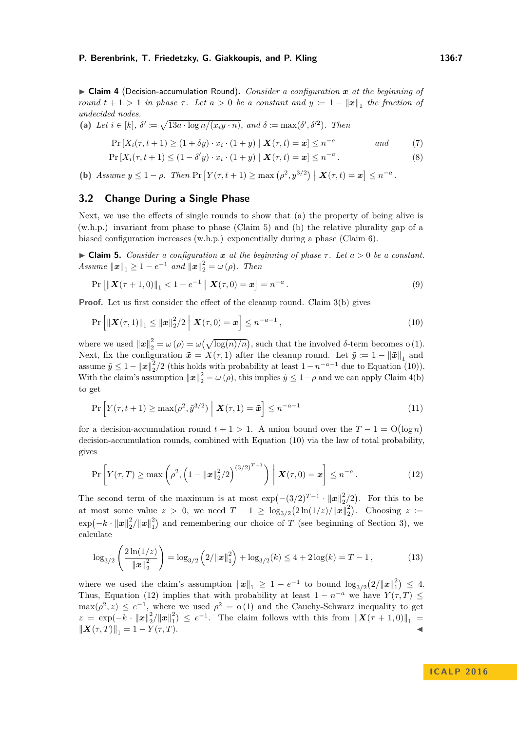<span id="page-6-3"></span>▶ Claim 4 (Decision-accumulation Round). *Consider a configuration x at the beginning of round*  $t + 1 > 1$  *in phase*  $\tau$ *. Let*  $a > 0$  *be a constant and*  $y := 1 - ||x||_1$  *the fraction of undecided nodes.*

(a) Let 
$$
i \in [k]
$$
,  $\delta' := \sqrt{13a \cdot \log n/(x_i y \cdot n)}$ , and  $\delta := \max(\delta', \delta'^2)$ . Then

$$
\Pr\left[X_i(\tau, t+1) \ge (1+\delta y) \cdot x_i \cdot (1+y) \mid \mathbf{X}(\tau, t) = \mathbf{x}\right] \le n^{-a} \qquad \text{and} \tag{7}
$$

$$
\Pr\left[X_i(\tau, t+1) \le (1 - \delta' y) \cdot x_i \cdot (1 + y) \mid \mathbf{X}(\tau, t) = \mathbf{x}\right] \le n^{-a}.
$$
\n<sup>(8)</sup>

**(b)** *Assume*  $y \le 1 - \rho$ . *Then*  $\Pr\left[Y(\tau, t+1) \ge \max\left(\rho^2, y^{3/2}\right) \mid \mathbf{X}(\tau, t) = \mathbf{x}\right] \le n^{-a}$ .

# <span id="page-6-0"></span>**3.2 Change During a Single Phase**

Next, we use the effects of single rounds to show that (a) the property of being alive is (w.h.p.) invariant from phase to phase (Claim [5\)](#page-6-1) and (b) the relative plurality gap of a biased configuration increases (w.h.p.) exponentially during a phase (Claim [6\)](#page-7-0).

<span id="page-6-1"></span> $\triangleright$  **Claim 5.** *Consider a configuration*  $\boldsymbol{x}$  *at the beginning of phase*  $\tau$ *. Let*  $a > 0$  *be a constant. Assume*  $||x||_1 \ge 1 - e^{-1}$  *and*  $||x||_2^2 = \omega(\rho)$ *. Then* 

<span id="page-6-2"></span>
$$
\Pr\left[\|\mathbf{X}(\tau+1,0)\|_{1} < 1 - e^{-1} \mid \mathbf{X}(\tau,0) = \mathbf{x}\right] = n^{-a}.
$$
\n<sup>(9)</sup>

**Proof.** Let us first consider the effect of the cleanup round. Claim [3\(](#page-5-3)b) gives

$$
\Pr\left[\|\bm{X}(\tau,1)\|_{1} \leq \|\bm{x}\|_{2}^{2}/2 \; \Big| \; \bm{X}(\tau,0) = \bm{x}\right] \leq n^{-a-1},\tag{10}
$$

where we used  $\|\boldsymbol{x}\|_2^2 = \omega(\rho) = \omega(\sqrt{\log(n)/n})$ , such that the involved  $\delta$ -term becomes o (1). Next, fix the configuration  $\tilde{x} = X(\tau, 1)$  after the cleanup round. Let  $\tilde{y} \coloneqq 1 - ||\tilde{x}||_1$  and assume  $\tilde{y} \le 1 - ||x||_2^2/2$  (this holds with probability at least  $1 - n^{-a-1}$  due to Equation [\(10\)](#page-6-2)). With the claim's assumption  $\|\boldsymbol{x}\|_2^2 = \omega(\rho)$ , this implies  $\tilde{y} \leq 1 - \rho$  and we can apply Claim [4\(](#page-6-3)b) to get

$$
\Pr\left[Y(\tau, t+1) \ge \max(\rho^2, \tilde{y}^{3/2}) \mid \boldsymbol{X}(\tau, 1) = \tilde{\boldsymbol{x}}\right] \le n^{-a-1} \tag{11}
$$

for a decision-accumulation round  $t + 1 > 1$ . A union bound over the  $T - 1 = O(\log n)$ decision-accumulation rounds, combined with Equation [\(10\)](#page-6-2) via the law of total probability, gives

<span id="page-6-4"></span>
$$
\Pr\left[Y(\tau,T) \ge \max\left(\rho^2, \left(1 - ||x||_2^2/2\right)^{(3/2)^{T-1}}\right) \middle| \mathbf{X}(\tau,0) = x\right] \le n^{-a}. \tag{12}
$$

The second term of the maximum is at most  $\exp(-(3/2)^{T-1} \cdot ||x||_2^2/2)$ . For this to be at most some value  $z > 0$ , we need  $T - 1 \ge \log_{3/2}(2\ln(1/z)/||x||_2^2)$ . Choosing  $z =$  $\exp(-k \cdot ||x||_2^2/||x||_1^2)$  and remembering our choice of *T* (see beginning of Section [3\)](#page-4-0), we calculate

$$
\log_{3/2}\left(\frac{2\ln(1/z)}{\|\mathbf{x}\|_2^2}\right) = \log_{3/2}\left(2/\|\mathbf{x}\|_1^2\right) + \log_{3/2}(k) \le 4 + 2\log(k) = T - 1,\tag{13}
$$

where we used the claim's assumption  $||x||_1 \geq 1 - e^{-1}$  to bound  $\log_{3/2}(2/||x||_1^2) \leq 4$ . Thus, Equation [\(12\)](#page-6-4) implies that with probability at least  $1 - n^{-a}$  we have  $Y(\tau, T) \leq$  $\max(\rho^2, z) \leq e^{-1}$ , where we used  $\rho^2 = o(1)$  and the Cauchy-Schwarz inequality to get  $z = \exp(-k \cdot ||x||_2^2/||x||_1^2) \le e^{-1}$ . The claim follows with this from  $||X(\tau + 1,0)||_1 =$  $\|X(\tau,T)\|_1 = 1 - Y(\tau,T).$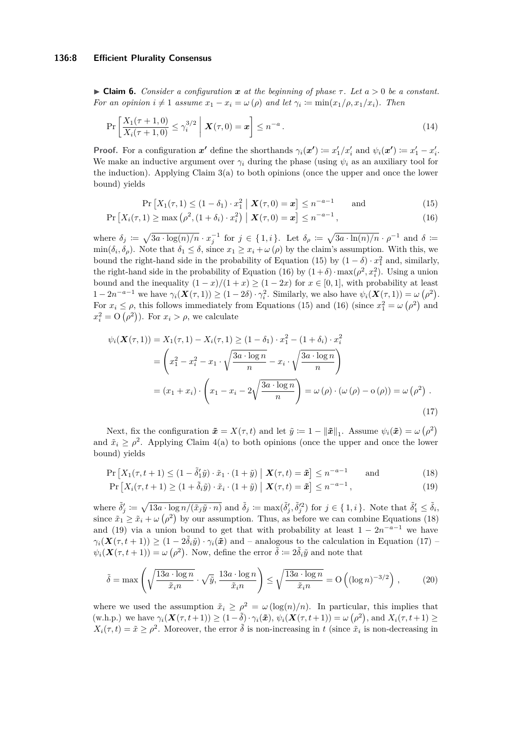#### **136:8 Efficient Plurality Consensus**

<span id="page-7-0"></span> $\triangleright$  **Claim 6.** *Consider a configuration*  $\boldsymbol{x}$  *at the beginning of phase*  $\tau$ *. Let*  $a > 0$  *be a constant. For an opinion*  $i \neq 1$  *assume*  $x_1 - x_i = \omega(\rho)$  *and let*  $\gamma_i := \min(x_1/\rho, x_1/x_i)$ *. Then* 

$$
\Pr\left[\frac{X_1(\tau+1,0)}{X_i(\tau+1,0)} \le \gamma_i^{3/2} \; \middle| \; \mathbf{X}(\tau,0) = \mathbf{x}\right] \le n^{-a} \,. \tag{14}
$$

**Proof.** For a configuration  $x'$  define the shorthands  $\gamma_i(x') \coloneqq x'_1/x'_i$  and  $\psi_i(x') \coloneqq x'_1 - x'_i$ . We make an inductive argument over  $\gamma_i$  during the phase (using  $\psi_i$  as an auxiliary tool for the induction). Applying Claim [3\(](#page-5-3)a) to both opinions (once the upper and once the lower bound) yields

<span id="page-7-2"></span><span id="page-7-1"></span>
$$
\Pr\left[X_1(\tau, 1) \le (1 - \delta_1) \cdot x_1^2 \mid \mathbf{X}(\tau, 0) = \mathbf{x}\right] \le n^{-a - 1} \quad \text{and} \tag{15}
$$

$$
\Pr\left[X_i(\tau, 1) \ge \max\left(\rho^2, (1 + \delta_i) \cdot x_i^2\right) \mid \mathbf{X}(\tau, 0) = \mathbf{x}\right] \le n^{-a-1},\tag{16}
$$

where  $\delta_j := \sqrt{3a \cdot \log(n)/n} \cdot x_j^{-1}$  for  $j \in \{1, i\}$ . Let  $\delta_\rho := \sqrt{3a \cdot \ln(n)/n} \cdot \rho^{-1}$  and  $\delta :=$  $\min(\delta_i, \delta_\rho)$ . Note that  $\delta_1 \leq \delta$ , since  $x_1 \geq x_i + \omega(\rho)$  by the claim's assumption. With this, we bound the right-hand side in the probability of Equation [\(15\)](#page-7-1) by  $(1 - \delta) \cdot x_1^2$  and, similarly, the right-hand side in the probability of Equation [\(16\)](#page-7-2) by  $(1+\delta) \cdot \max(\rho^2, x_i^2)$ . Using a union bound and the inequality  $(1 - x)/(1 + x) \ge (1 - 2x)$  for  $x \in [0, 1]$ , with probability at least  $1 - 2n^{-a-1}$  we have  $\gamma_i(\mathbf{X}(\tau, 1)) \ge (1 - 2\delta) \cdot \gamma_i^2$ . Similarly, we also have  $\psi_i(\mathbf{X}(\tau, 1)) = \omega(\rho^2)$ . For  $x_i \leq \rho$ , this follows immediately from Equations [\(15\)](#page-7-1) and [\(16\)](#page-7-2) (since  $x_1^2 = \omega(\rho^2)$  and  $x_i^2 = O(\rho^2)$ . For  $x_i > \rho$ , we calculate

<span id="page-7-5"></span>
$$
\psi_i(\mathbf{X}(\tau,1)) = X_1(\tau,1) - X_i(\tau,1) \ge (1 - \delta_1) \cdot x_1^2 - (1 + \delta_i) \cdot x_i^2
$$
  
=  $\left(x_1^2 - x_i^2 - x_1 \cdot \sqrt{\frac{3a \cdot \log n}{n}} - x_i \cdot \sqrt{\frac{3a \cdot \log n}{n}}\right)$   
=  $(x_1 + x_i) \cdot \left(x_1 - x_i - 2\sqrt{\frac{3a \cdot \log n}{n}}\right) = \omega(\rho) \cdot (\omega(\rho) - \omega(\rho)) = \omega(\rho^2)$ . (17)

Next, fix the configuration  $\tilde{x} = X(\tau, t)$  and let  $\tilde{y} := 1 - ||\tilde{x}||_1$ . Assume  $\psi_i(\tilde{x}) = \omega(\rho^2)$ and  $\tilde{x}_i \geq \rho^2$ . Applying Claim [4\(](#page-6-3)a) to both opinions (once the upper and once the lower bound) yields

$$
\Pr\left[X_1(\tau, t+1) \le (1 - \tilde{\delta}'_1 \tilde{y}) \cdot \tilde{x}_1 \cdot (1 + \tilde{y}) \mid \mathbf{X}(\tau, t) = \tilde{x}\right] \le n^{-a-1} \quad \text{and} \tag{18}
$$

<span id="page-7-4"></span><span id="page-7-3"></span>
$$
\Pr\left[X_i(\tau, t+1) \ge (1 + \tilde{\delta}_i \tilde{y}) \cdot \tilde{x}_i \cdot (1 + \tilde{y}) \mid \mathbf{X}(\tau, t) = \tilde{x}\right] \le n^{-a-1},\tag{19}
$$

where  $\tilde{\delta}'_j \coloneqq \sqrt{13a \cdot \log n/(\tilde{x}_j \tilde{y} \cdot n)}$  and  $\tilde{\delta}_j \coloneqq \max(\tilde{\delta}'_j, \tilde{\delta}'_j^2)$  for  $j \in \{1, i\}$ . Note that  $\tilde{\delta}'_1 \leq \tilde{\delta}_i$ , since  $\tilde{x}_1 \geq \tilde{x}_i + \omega(\rho^2)$  by our assumption. Thus, as before we can combine Equations [\(18\)](#page-7-3) and [\(19\)](#page-7-4) via a union bound to get that with probability at least  $1 - 2n^{-a-1}$  we have  $\gamma_i(\mathbf{X}(\tau,t+1)) \geq (1 - 2\tilde{\delta}_i\tilde{y}) \cdot \gamma_i(\tilde{x})$  and – analogous to the calculation in Equation [\(17\)](#page-7-5) –  $\psi_i(\mathbf{X}(\tau, t+1)) = \omega(\rho^2)$ . Now, define the error  $\tilde{\delta} := 2\tilde{\delta}_i\tilde{y}$  and note that

$$
\tilde{\delta} = \max \left( \sqrt{\frac{13a \cdot \log n}{\tilde{x}_{i}n}} \cdot \sqrt{\tilde{y}}, \frac{13a \cdot \log n}{\tilde{x}_{i}n} \right) \le \sqrt{\frac{13a \cdot \log n}{\tilde{x}_{i}n}} = O\left( (\log n)^{-3/2} \right),\tag{20}
$$

where we used the assumption  $\tilde{x}_i \ge \rho^2 = \omega(\log(n)/n)$ . In particular, this implies that  $(w.h.p.)$  we have  $\gamma_i(\mathbf{X}(\tau, t+1)) \geq (1-\tilde{\delta}) \cdot \gamma_i(\tilde{\mathbf{x}}), \psi_i(\mathbf{X}(\tau, t+1)) = \omega(\rho^2), \text{ and } X_i(\tau, t+1) \geq 0$  $X_i(\tau, t) = \tilde{x} \ge \rho^2$ . Moreover, the error  $\tilde{\delta}$  is non-increasing in *t* (since  $\tilde{x}_i$  is non-decreasing in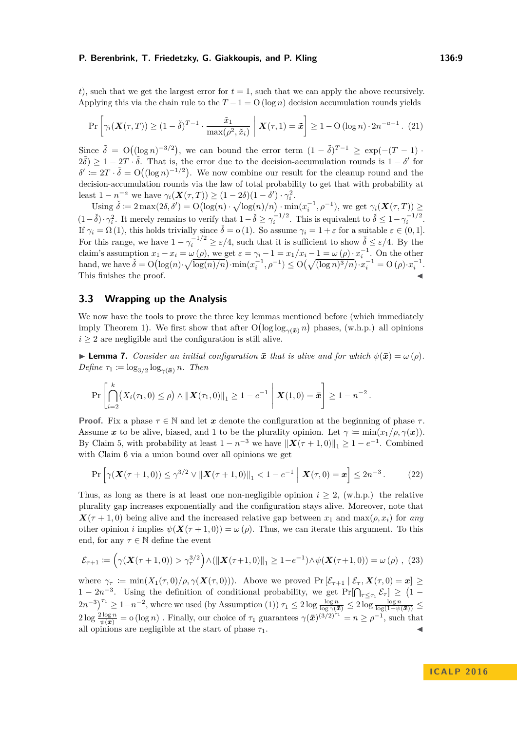*t*), such that we get the largest error for  $t = 1$ , such that we can apply the above recursively. Applying this via the chain rule to the  $T-1 = O(\log n)$  decision accumulation rounds yields

$$
\Pr\left[\gamma_i(\mathbf{X}(\tau,T)) \ge (1-\tilde{\delta})^{T-1} \cdot \frac{\tilde{x}_1}{\max(\rho^2, \tilde{x}_i)} \middle| \mathbf{X}(\tau,1) = \tilde{\boldsymbol{x}}\right] \ge 1 - \mathcal{O}\left(\log n\right) \cdot 2n^{-a-1}.\tag{21}
$$

Since  $\tilde{\delta} = O((\log n)^{-3/2})$ , we can bound the error term  $(1 - \tilde{\delta})^{T-1} \ge \exp(-(T-1))$ .  $2\tilde{\delta}$ )  $\geq 1 - 2T \cdot \tilde{\delta}$ . That is, the error due to the decision-accumulation rounds is  $1 - \delta'$  for  $\delta' \coloneqq 2T \cdot \tilde{\delta} = \mathcal{O}((\log n)^{-1/2})$ . We now combine our result for the cleanup round and the decision-accumulation rounds via the law of total probability to get that with probability at least  $1 - n^{-a}$  we have  $\gamma_i(\mathbf{X}(\tau, T)) \geq (1 - 2\delta)(1 - \delta') \cdot \gamma_i^2$ .

Using  $\check{\delta} := 2 \max(2\delta, \delta') = O\left(\log(n) \cdot \sqrt{\log(n)/n}\right) \cdot \min(x_i^{-1}, \rho^{-1}),$  we get  $\gamma_i(\mathbf{X}(\tau, T)) \ge$  $(1-\check{\delta}) \cdot \gamma_i^2$ . It merely remains to verify that  $1-\check{\delta} \geq \gamma_i^{-1/2}$ . This is equivalent to  $\check{\delta} \leq 1-\gamma_i^{-1/2}$ . If  $\gamma_i = \Omega(1)$ , this holds trivially since  $\check{\delta} = o(1)$ . So assume  $\gamma_i = 1 + \varepsilon$  for a suitable  $\varepsilon \in (0, 1]$ . For this range, we have  $1 - \gamma_i^{-1/2} \ge \varepsilon/4$ , such that it is sufficient to show  $\check{\delta} \le \varepsilon/4$ . By the claim's assumption  $x_1 - x_i = \omega(\rho)$ , we get  $\varepsilon = \gamma_i - 1 = x_1/x_i - 1 = \omega(\rho) \cdot x_i^{-1}$ . On the other hand, we have  $\check{\delta} = O\left(\log(n) \cdot \sqrt{\log(n)/n}\right) \cdot \min(x_i^{-1}, \rho^{-1}) \leq O\left(\sqrt{(\log n)^3/n}\right) \cdot x_i^{-1} = O\left(\rho\right) \cdot x_i^{-1}$ . This finishes the proof.

## <span id="page-8-1"></span>**3.3 Wrapping up the Analysis**

We now have the tools to prove the three key lemmas mentioned before (which immediately imply Theorem [1\)](#page-4-4). We first show that after  $O(\log \log_{\gamma(\bar{x})} n)$  phases, (w.h.p.) all opinions  $i \geq 2$  are negligible and the configuration is still alive.

<span id="page-8-0"></span>**Example 7.** *Consider an initial configuration*  $\bar{x}$  *that is alive and for which*  $\psi(\bar{x}) = \omega(\rho)$ *.*  $Define \tau_1 := \log_{3/2} \log_{\gamma(\bar{x})} n$ *. Then* 

$$
\Pr\left[\bigcap_{i=2}^k (X_i(\tau_1,0)\leq \rho) \wedge ||\bm{X}(\tau_1,0)||_1 \geq 1-e^{-1}\;\middle|\; \bm{X}(1,0)=\bar{\bm{x}}\right]\geq 1-n^{-2}\,.
$$

**Proof.** Fix a phase  $\tau \in \mathbb{N}$  and let x denote the configuration at the beginning of phase  $\tau$ . Assume *x* to be alive, biased, and 1 to be the plurality opinion. Let  $\gamma := \min(x_1/\rho, \gamma(x))$ . By Claim [5,](#page-6-1) with probability at least  $1 - n^{-3}$  we have  $||\boldsymbol{X}(\tau + 1, 0)||_1 \geq 1 - e^{-1}$ . Combined with Claim [6](#page-7-0) via a union bound over all opinions we get

$$
\Pr\left[\gamma(\mathbf{X}(\tau+1,0)) \le \gamma^{3/2} \vee \|\mathbf{X}(\tau+1,0)\|_1 < 1 - e^{-1} \|\mathbf{X}(\tau,0) = \mathbf{x}\right] \le 2n^{-3}.\tag{22}
$$

Thus, as long as there is at least one non-negligible opinion  $i \geq 2$ , (w.h.p.) the relative plurality gap increases exponentially and the configuration stays alive. Moreover, note that  $X(\tau + 1,0)$  being alive and the increased relative gap between  $x_1$  and  $\max(\rho, x_i)$  for *any* other opinion *i* implies  $\psi(\mathbf{X}(\tau+1,0)) = \omega(\rho)$ . Thus, we can iterate this argument. To this end, for any  $\tau \in \mathbb{N}$  define the event

$$
\mathcal{E}_{\tau+1} := \left(\gamma(\mathbf{X}(\tau+1,0)) > \gamma_{\tau}^{3/2}\right) \wedge \left(\|\mathbf{X}(\tau+1,0)\|_{1} \ge 1 - e^{-1}\right) \wedge \psi(\mathbf{X}(\tau+1,0)) = \omega(\rho) \tag{23}
$$

where  $\gamma_{\tau} \coloneqq \min(X_1(\tau, 0)/\rho, \gamma(\mathbf{X}(\tau, 0)))$ . Above we proved  $\Pr[\mathcal{E}_{\tau+1} | \mathcal{E}_{\tau}, \mathbf{X}(\tau, 0) = x] \ge$  $1-2n^{-3}$ . Using the definition of conditional probability, we get  $Pr[\bigcap_{\tau\leq\tau_1} \mathcal{E}_{\tau}] \geq (1-\tau_1)^{-3}$  $(2n^{-3})^{\tau_1} \geq 1-n^{-2}$ , where we used (by Assumption [\(1\)](#page-4-1))  $\tau_1 \leq 2 \log \frac{\log n}{\log \gamma(\bar{x})} \leq 2 \log \frac{\log n}{\log(1+\psi(\bar{x}))} \leq$  $2 \log \frac{2 \log n}{\psi(\bar{x})} = o(\log n)$ . Finally, our choice of  $\tau_1$  guarantees  $\gamma(\bar{x})^{(3/2)^{\tau_1}} = n \ge \rho^{-1}$ , such that all opinions are negligible at the start of phase  $\tau_1$ .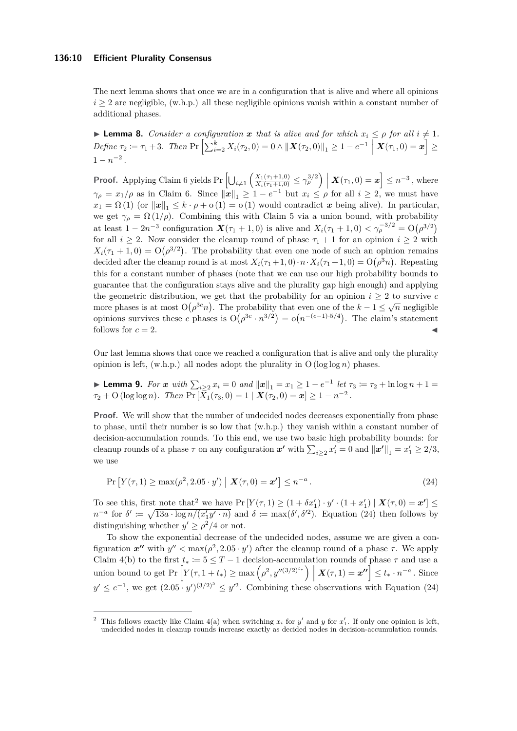The next lemma shows that once we are in a configuration that is alive and where all opinions  $i \geq 2$  are negligible, (w.h.p.) all these negligible opinions vanish within a constant number of additional phases.

<span id="page-9-0"></span>**I Lemma 8.** *Consider a configuration*  $x$  *that is alive and for which*  $x_i \leq \rho$  *for all*  $i \neq 1$ *.*  $Define \tau_2 \coloneqq \tau_1 + 3$ . Then  $\Pr\left[\sum_{i=2}^k X_i(\tau_2, 0) = 0 \land ||\boldsymbol{X}(\tau_2, 0)||_1 \geq 1 - e^{-1} \mid \boldsymbol{X}(\tau_1, 0) = \boldsymbol{x}\right] \geq 1$  $1 - n^{-2}$ .

**Proof.** Applying Claim [6](#page-7-0) yields  $Pr\left[\bigcup_{i\neq 1}\left(\frac{X_1(\tau_1+1,0)}{X_i(\tau_1+1,0)} \leq \gamma_\rho^{3/2}\right)\Big| X(\tau_1,0) = x\right] \leq n^{-3}$ , where  $\gamma_{\rho} = x_1/\rho$  as in Claim [6.](#page-7-0) Since  $\|\mathbf{x}\|_1 \geq 1 - e^{-1}$  but  $x_i \leq \rho$  for all  $i \geq 2$ , we must have  $x_1 = \Omega(1)$  (or  $||x||_1 \leq k \cdot \rho + o(1) = o(1)$  would contradict *x* being alive). In particular, we get  $\gamma_{\rho} = \Omega(1/\rho)$ . Combining this with Claim [5](#page-6-1) via a union bound, with probability at least  $1 - 2n^{-3}$  configuration  $\mathbf{X}(\tau_1 + 1, 0)$  is alive and  $X_i(\tau_1 + 1, 0) < \gamma_\rho^{-3/2} = O(\rho^{3/2})$ for all  $i \geq 2$ . Now consider the cleanup round of phase  $\tau_1 + 1$  for an opinion  $i \geq 2$  with  $X_i(\tau_1 + 1, 0) = O(\rho^{3/2})$ . The probability that even one node of such an opinion remains decided after the cleanup round is at most  $X_i(\tau_1 + 1, 0) \cdot n \cdot X_i(\tau_1 + 1, 0) = O(\rho^3 n)$ . Repeating this for a constant number of phases (note that we can use our high probability bounds to guarantee that the configuration stays alive and the plurality gap high enough) and applying the geometric distribution, we get that the probability for an opinion  $i \geq 2$  to survive *c* more phases is at most  $O(\rho^{3c}n)$ . The probability that even one of the  $k-1 \leq \sqrt{n}$  negligible opinions survives these *c* phases is  $O(\rho^{3c} \cdot n^{3/2}) = o(n^{-(c-1)\cdot 5/4})$ . The claim's statement follows for  $c = 2$ .

Our last lemma shows that once we reached a configuration that is alive and only the plurality opinion is left,  $(w.h.p.)$  all nodes adopt the plurality in  $O(log log n)$  phases.

<span id="page-9-1"></span>► **Lemma 9.** *For x with*  $\sum_{i\geq 2} x_i = 0$  *and*  $||x||_1 = x_1 \geq 1 - e^{-1}$  *let*  $\tau_3 := \tau_2 + \ln \log n + 1 =$  $\tau_2 + O(\log \log n)$ *. Then*  $Pr[\bar{X}_1(\tau_3, 0) = 1 | \mathbf{X}(\tau_2, 0) = x] \ge 1 - n^{-2}$ .

**Proof.** We will show that the number of undecided nodes decreases exponentially from phase to phase, until their number is so low that (w.h.p.) they vanish within a constant number of decision-accumulation rounds. To this end, we use two basic high probability bounds: for cleanup rounds of a phase  $\tau$  on any configuration  $x'$  with  $\sum_{i\geq 2} x'_i = 0$  and  $||x'||_1 = x'_1 \geq 2/3$ , we use

<span id="page-9-3"></span>
$$
\Pr\left[Y(\tau, 1) \ge \max(\rho^2, 2.05 \cdot y') \mid \mathbf{X}(\tau, 0) = \mathbf{x'}\right] \le n^{-a}.
$$
\n(24)

To see this, first note that<sup>[2](#page-9-2)</sup> we have  $Pr[Y(\tau, 1) \ge (1 + \delta x_1') \cdot y' \cdot (1 + x_1') | \mathbf{X}(\tau, 0) = \mathbf{x'}] \le$  $n^{-a}$  for  $\delta' \coloneqq \sqrt{13a \cdot \log n/(x_1'y' \cdot n)}$  and  $\delta \coloneqq \max(\delta', \delta'^2)$ . Equation [\(24\)](#page-9-3) then follows by distinguishing whether  $y' \ge \rho^2/4$  or not.

To show the exponential decrease of the undecided nodes, assume we are given a configuration  $x''$  with  $y'' < \max(\rho^2, 2.05 \cdot y')$  after the cleanup round of a phase  $\tau$ . We apply Claim [4\(](#page-6-3)b) to the first  $t_* \coloneqq 5 \leq T - 1$  decision-accumulation rounds of phase  $\tau$  and use a union bound to get  $\Pr\left[Y(\tau, 1+t_*) \ge \max\left(\rho^2, y''^{(3/2)^{t_*}}\right) \mid \mathbf{X}(\tau, 1) = \mathbf{x''}\right] \le t_* \cdot n^{-a}$ . Since  $y' \leq e^{-1}$ , we get  $(2.05 \cdot y')^{(3/2)^5} \leq y'^2$ . Combining these observations with Equation [\(24\)](#page-9-3)

<span id="page-9-2"></span><sup>&</sup>lt;sup>2</sup> This follows exactly like Claim  $4(a)$  when switching  $x_i$  for  $y'$  and  $y$  for  $x'_1$ . If only one opinion is left, undecided nodes in cleanup rounds increase exactly as decided nodes in decision-accumulation rounds.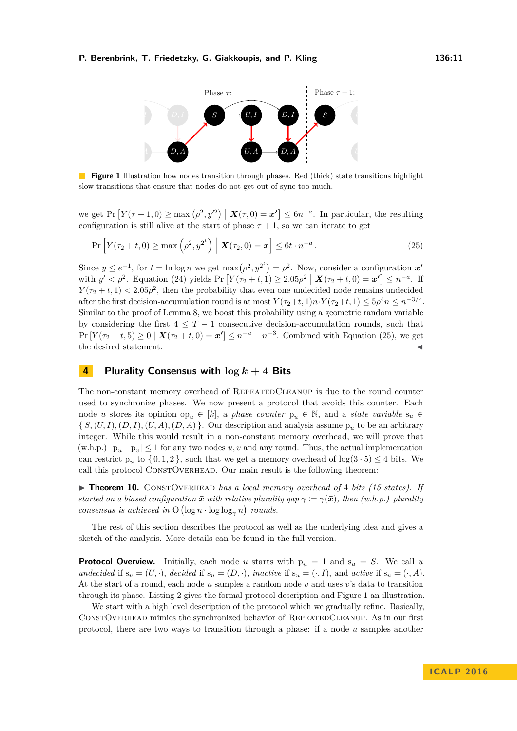<span id="page-10-2"></span><span id="page-10-1"></span>

**Figure 1** Illustration how nodes transition through phases. Red (thick) state transitions highlight slow transitions that ensure that nodes do not get out of sync too much.

we get Pr  $[Y(\tau+1,0) \ge \max(\rho^2, y'^2) | X(\tau,0) = x'] \le 6n^{-a}$ . In particular, the resulting configuration is still alive at the start of phase  $\tau + 1$ , so we can iterate to get

$$
\Pr\left[Y(\tau_2+t,0)\ge\max\left(\rho^2,y^{2^t}\right)\big| \mathbf{X}(\tau_2,0)=\mathbf{x}\right]\le 6t\cdot n^{-a}.
$$
\n(25)

Since  $y \le e^{-1}$ , for  $t = \ln \log n$  we get  $\max(\rho^2, y^{2^t}) = \rho^2$ . Now, consider a configuration  $x'$  $y' < \rho^2$ . Equation [\(24\)](#page-9-3) yields  $Pr[Y(\tau_2 + t, 1) \ge 2.05\rho^2 \mid \mathbf{X}(\tau_2 + t, 0) = \mathbf{x}' \le n^{-a}$ . If  $Y(\tau_2 + t, 1) < 2.05\rho^2$ , then the probability that even one undecided node remains undecided after the first decision-accumulation round is at most  $Y(\tau_2+t, 1)n \cdot Y(\tau_2+t, 1) \leq 5\rho^4 n \leq n^{-3/4}$ . Similar to the proof of Lemma [8,](#page-9-0) we boost this probability using a geometric random variable by considering the first  $4 \leq T-1$  consecutive decision-accumulation rounds, such that  $Pr[Y(\tau_2 + t, 5) \ge 0 \mid X(\tau_2 + t, 0) = x'] \le n^{-a} + n^{-3}$ . Combined with Equation [\(25\)](#page-10-1), we get the desired statement.  $\blacksquare$ 

### <span id="page-10-0"></span>**4 Plurality Consensus with log** *k* **+ 4 Bits**

The non-constant memory overhead of REPEATEDCLEANUP is due to the round counter used to synchronize phases. We now present a protocol that avoids this counter. Each node *u* stores its opinion op<sub>u</sub> ∈ [k], a phase counter  $p_u \in \mathbb{N}$ , and a *state variable*  $s_u \in$  $\{S,(U,I),(D,I),(U,A),(D,A)\}\$ . Our description and analysis assume  $p_u$  to be an arbitrary integer. While this would result in a non-constant memory overhead, we will prove that  $(w.h.p.) |p_u-p_v| \leq 1$  for any two nodes  $u, v$  and any round. Thus, the actual implementation can restrict  $p_u$  to  $\{0,1,2\}$ , such that we get a memory overhead of  $log(3 \cdot 5) \leq 4$  bits. We call this protocol CONSTOVERHEAD. Our main result is the following theorem:

▶ **Theorem 10.** CONSTOVERHEAD *has a local memory overhead of* 4 *bits (15 states).* If *started on a biased configuration*  $\bar{x}$  *with relative plurality gap*  $\gamma := \gamma(\bar{x})$ *, then (w.h.p.) plurality consensus is achieved in*  $O(\log n \cdot \log \log_{\gamma} n)$  *rounds.* 

The rest of this section describes the protocol as well as the underlying idea and gives a sketch of the analysis. More details can be found in the full version.

**Protocol Overview.** Initially, each node *u* starts with  $p_u = 1$  and  $s_u = S$ . We call *u undecided* if  $s_u = (U, \cdot)$ , *decided* if  $s_u = (D, \cdot)$ , *inactive* if  $s_u = (\cdot, I)$ , and *active* if  $s_u = (\cdot, A)$ . At the start of a round, each node *u* samples a random node *v* and uses *v*'s data to transition through its phase. Listing [2](#page-11-0) gives the formal protocol description and Figure [1](#page-10-2) an illustration.

We start with a high level description of the protocol which we gradually refine. Basically, ConstOverhead mimics the synchronized behavior of RepeatedCleanup. As in our first protocol, there are two ways to transition through a phase: if a node *u* samples another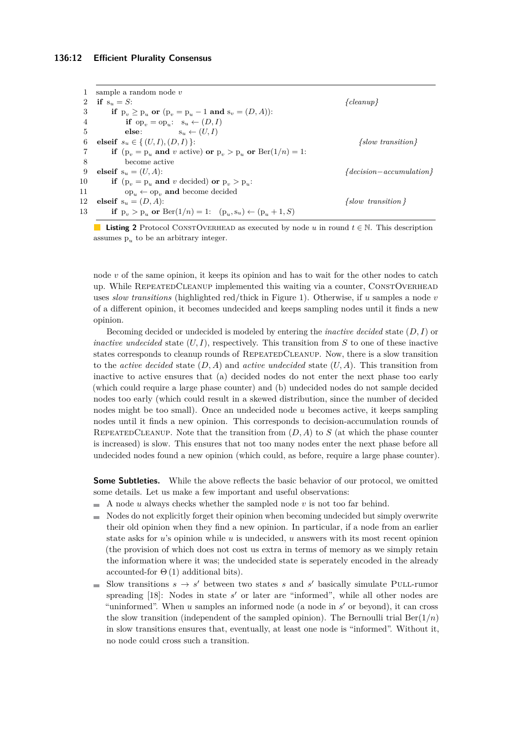#### **136:12 Efficient Plurality Consensus**

<span id="page-11-0"></span>1 sample a random node *v* **if**  $s_u = S$ :  $\{cleanup\}$ **if**  $p_v \geq p_u$  or  $(p_v = p_u - 1 \text{ and } s_v = (D, A))$ : **if**  $op_v = op_u$ :  $s_u \leftarrow (D, I)$ **else**:  $s_u \leftarrow (U, I)$ **elseif**  $s_u \in \{ (U, I), (D, I) \}$ :  $\{ \text{slow transition} \}$ **if**  $(p_v = p_u \text{ and } v \text{ active}) \text{ or } p_v > p_u \text{ or } \text{Ber}(1/n) = 1$ : 8 become active **elseif**  $s_u = (U, A)$ :  $\{ \text{decision}-\text{accumulation} \}$ **if**  $(p_v = p_u \text{ and } v \text{ decided}) \text{ or } p_v > p_u$ : 11 op<sub>u</sub> ← op<sub>v</sub> **and** become decided **elseif** s*<sup>u</sup>* = (*D, A*): *{slow transition }* **if**  $p_v > p_u$  or  $Ber(1/n) = 1$ :  $(p_u, s_u) \leftarrow (p_u + 1, S)$ 



node *v* of the same opinion, it keeps its opinion and has to wait for the other nodes to catch up. While REPEATEDCLEANUP implemented this waiting via a counter, CONSTOVERHEAD uses *slow transitions* (highlighted red/thick in Figure [1\)](#page-10-2). Otherwise, if *u* samples a node *v* of a different opinion, it becomes undecided and keeps sampling nodes until it finds a new opinion.

Becoming decided or undecided is modeled by entering the *inactive decided* state (*D, I*) or *inactive undecided* state  $(U, I)$ , respectively. This transition from *S* to one of these inactive states corresponds to cleanup rounds of REPEATEDCLEANUP. Now, there is a slow transition to the *active decided* state (*D, A*) and *active undecided* state (*U, A*). This transition from inactive to active ensures that (a) decided nodes do not enter the next phase too early (which could require a large phase counter) and (b) undecided nodes do not sample decided nodes too early (which could result in a skewed distribution, since the number of decided nodes might be too small). Once an undecided node *u* becomes active, it keeps sampling nodes until it finds a new opinion. This corresponds to decision-accumulation rounds of REPEATEDCLEANUP. Note that the transition from  $(D, A)$  to  $S$  (at which the phase counter is increased) is slow. This ensures that not too many nodes enter the next phase before all undecided nodes found a new opinion (which could, as before, require a large phase counter).

**Some Subtleties.** While the above reflects the basic behavior of our protocol, we omitted some details. Let us make a few important and useful observations:

- A node *u* always checks whether the sampled node *v* is not too far behind.  $\equiv$
- Nodes do not explicitly forget their opinion when becoming undecided but simply overwrite  $\overline{a}$ their old opinion when they find a new opinion. In particular, if a node from an earlier state asks for *u*'s opinion while *u* is undecided, *u* answers with its most recent opinion (the provision of which does not cost us extra in terms of memory as we simply retain the information where it was; the undecided state is seperately encoded in the already accounted-for  $\Theta(1)$  additional bits).
- Slow transitions  $s \to s'$  between two states *s* and *s'* basically simulate PULL-rumor spreading [\[18\]](#page-13-14): Nodes in state *s'* or later are "informed", while all other nodes are "uninformed". When  $u$  samples an informed node (a node in  $s'$  or beyond), it can cross the slow transition (independent of the sampled opinion). The Bernoulli trial  $\text{Ber}(1/n)$ in slow transitions ensures that, eventually, at least one node is "informed". Without it, no node could cross such a transition.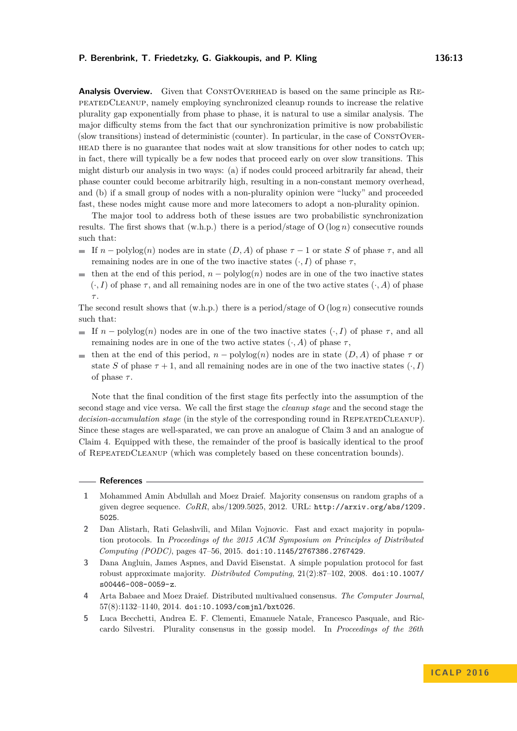**Analysis Overview.** Given that CONSTOVERHEAD is based on the same principle as REpeatedCleanup, namely employing synchronized cleanup rounds to increase the relative plurality gap exponentially from phase to phase, it is natural to use a similar analysis. The major difficulty stems from the fact that our synchronization primitive is now probabilistic (slow transitions) instead of deterministic (counter). In particular, in the case of ConstOverhead there is no guarantee that nodes wait at slow transitions for other nodes to catch up; in fact, there will typically be a few nodes that proceed early on over slow transitions. This might disturb our analysis in two ways: (a) if nodes could proceed arbitrarily far ahead, their phase counter could become arbitrarily high, resulting in a non-constant memory overhead, and (b) if a small group of nodes with a non-plurality opinion were "lucky" and proceeded

The major tool to address both of these issues are two probabilistic synchronization results. The first shows that  $(w.h.p.)$  there is a period/stage of  $O(log n)$  consecutive rounds such that:

fast, these nodes might cause more and more latecomers to adopt a non-plurality opinion.

- $\blacksquare$  If *n* − polylog(*n*) nodes are in state (*D, A*) of phase  $τ$  − 1 or state *S* of phase  $τ$ , and all remaining nodes are in one of the two inactive states  $(·, I)$  of phase  $τ$ ,
- **■** then at the end of this period,  $n -$  polylog(*n*) nodes are in one of the two inactive states  $(\cdot, I)$  of phase  $\tau$ , and all remaining nodes are in one of the two active states  $(\cdot, A)$  of phase *τ* .

The second result shows that (w.h.p.) there is a period/stage of O (log *n*) consecutive rounds such that:

- If  $n \text{polylog}(n)$  nodes are in one of the two inactive states  $(\cdot, I)$  of phase  $\tau$ , and all remaining nodes are in one of the two active states (·*, A*) of phase *τ* ,
- then at the end of this period,  $n polylog(n)$  nodes are in state  $(D, A)$  of phase  $\tau$  or state *S* of phase  $\tau + 1$ , and all remaining nodes are in one of the two inactive states  $\langle \cdot, I \rangle$ of phase  $\tau$ .

Note that the final condition of the first stage fits perfectly into the assumption of the second stage and vice versa. We call the first stage the *cleanup stage* and the second stage the *decision-accumulation stage* (in the style of the corresponding round in REPEATEDCLEANUP). Since these stages are well-sparated, we can prove an analogue of Claim [3](#page-5-3) and an analogue of Claim [4.](#page-6-3) Equipped with these, the remainder of the proof is basically identical to the proof of RepeatedCleanup (which was completely based on these concentration bounds).

#### **References**

- <span id="page-12-0"></span>**1** Mohammed Amin Abdullah and Moez Draief. Majority consensus on random graphs of a given degree sequence. *CoRR*, abs/1209.5025, 2012. URL: [http://arxiv.org/abs/1209.](http://arxiv.org/abs/1209.5025) [5025](http://arxiv.org/abs/1209.5025).
- <span id="page-12-3"></span>**2** Dan Alistarh, Rati Gelashvili, and Milan Vojnovic. Fast and exact majority in population protocols. In *Proceedings of the 2015 ACM Symposium on Principles of Distributed Computing (PODC)*, pages 47–56, 2015. [doi:10.1145/2767386.2767429](http://dx.doi.org/10.1145/2767386.2767429).
- <span id="page-12-1"></span>**3** Dana Angluin, James Aspnes, and David Eisenstat. A simple population protocol for fast robust approximate majority. *Distributed Computing*, 21(2):87–102, 2008. [doi:10.1007/](http://dx.doi.org/10.1007/s00446-008-0059-z) [s00446-008-0059-z](http://dx.doi.org/10.1007/s00446-008-0059-z).
- <span id="page-12-4"></span>**4** Arta Babaee and Moez Draief. Distributed multivalued consensus. *The Computer Journal*, 57(8):1132–1140, 2014. [doi:10.1093/comjnl/bxt026](http://dx.doi.org/10.1093/comjnl/bxt026).
- <span id="page-12-2"></span>**5** Luca Becchetti, Andrea E. F. Clementi, Emanuele Natale, Francesco Pasquale, and Riccardo Silvestri. Plurality consensus in the gossip model. In *Proceedings of the 26th*